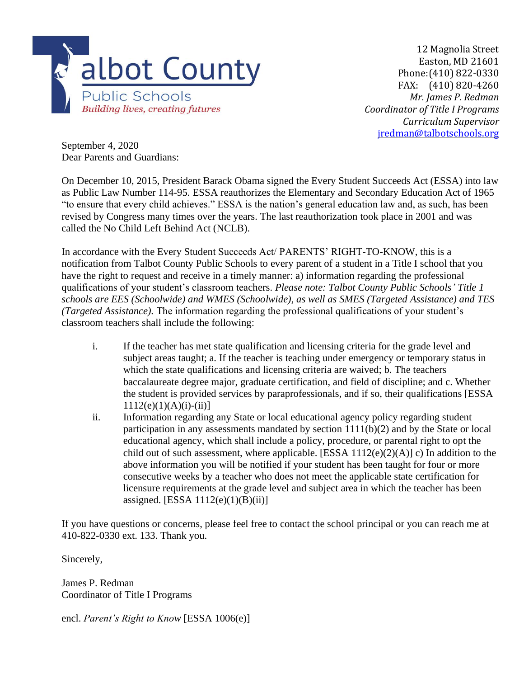

12 Magnolia Street Easton, MD 21601 Phone:(410) 822-0330 FAX: (410) 820-4260 *Mr. James P. Redman Coordinator of Title I Programs Curriculum Supervisor* jredman@talbotschools.org

September 4, 2020 Dear Parents and Guardians:

On December 10, 2015, President Barack Obama signed the Every Student Succeeds Act (ESSA) into law as Public Law Number 114-95. ESSA reauthorizes the Elementary and Secondary Education Act of 1965 "to ensure that every child achieves." ESSA is the nation's general education law and, as such, has been revised by Congress many times over the years. The last reauthorization took place in 2001 and was called the No Child Left Behind Act (NCLB).

In accordance with the Every Student Succeeds Act/ PARENTS' RIGHT-TO-KNOW, this is a notification from Talbot County Public Schools to every parent of a student in a Title I school that you have the right to request and receive in a timely manner: a) information regarding the professional qualifications of your student's classroom teachers. *Please note: Talbot County Public Schools' Title 1 schools are EES (Schoolwide) and WMES (Schoolwide), as well as SMES (Targeted Assistance) and TES (Targeted Assistance).* The information regarding the professional qualifications of your student's classroom teachers shall include the following:

- i. If the teacher has met state qualification and licensing criteria for the grade level and subject areas taught; a. If the teacher is teaching under emergency or temporary status in which the state qualifications and licensing criteria are waived; b. The teachers baccalaureate degree major, graduate certification, and field of discipline; and c. Whether the student is provided services by paraprofessionals, and if so, their qualifications [ESSA  $1112(e)(1)(A)(i)-(ii)$ ]
- ii. Information regarding any State or local educational agency policy regarding student participation in any assessments mandated by section 1111(b)(2) and by the State or local educational agency, which shall include a policy, procedure, or parental right to opt the child out of such assessment, where applicable. [ESSA  $1112(e)(2)(A)$ ] c) In addition to the above information you will be notified if your student has been taught for four or more consecutive weeks by a teacher who does not meet the applicable state certification for licensure requirements at the grade level and subject area in which the teacher has been assigned. [ESSA  $1112(e)(1)(B)(ii)$ ]

If you have questions or concerns, please feel free to contact the school principal or you can reach me at 410-822-0330 ext. 133. Thank you.

Sincerely,

James P. Redman Coordinator of Title I Programs

encl. *Parent's Right to Know* [ESSA 1006(e)]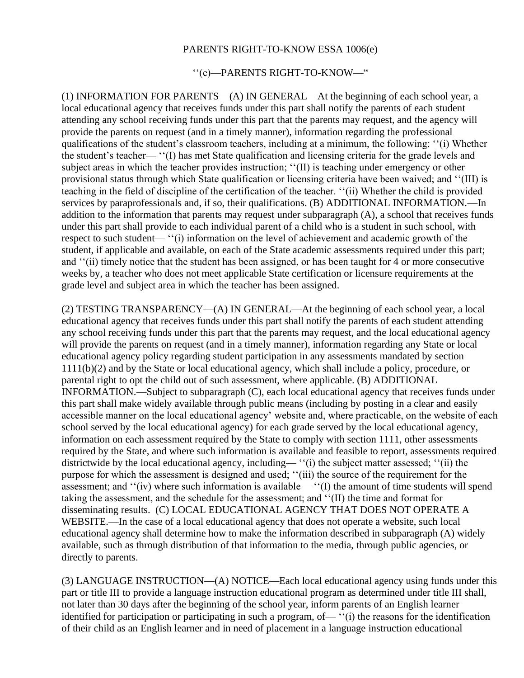## PARENTS RIGHT-TO-KNOW ESSA 1006(e)

## ''(e)—PARENTS RIGHT-TO-KNOW—"

(1) INFORMATION FOR PARENTS—(A) IN GENERAL—At the beginning of each school year, a local educational agency that receives funds under this part shall notify the parents of each student attending any school receiving funds under this part that the parents may request, and the agency will provide the parents on request (and in a timely manner), information regarding the professional qualifications of the student's classroom teachers, including at a minimum, the following: ''(i) Whether the student's teacher— ''(I) has met State qualification and licensing criteria for the grade levels and subject areas in which the teacher provides instruction; ''(II) is teaching under emergency or other provisional status through which State qualification or licensing criteria have been waived; and ''(III) is teaching in the field of discipline of the certification of the teacher. ''(ii) Whether the child is provided services by paraprofessionals and, if so, their qualifications. (B) ADDITIONAL INFORMATION.—In addition to the information that parents may request under subparagraph (A), a school that receives funds under this part shall provide to each individual parent of a child who is a student in such school, with respect to such student— ''(i) information on the level of achievement and academic growth of the student, if applicable and available, on each of the State academic assessments required under this part; and ''(ii) timely notice that the student has been assigned, or has been taught for 4 or more consecutive weeks by, a teacher who does not meet applicable State certification or licensure requirements at the grade level and subject area in which the teacher has been assigned.

(2) TESTING TRANSPARENCY—(A) IN GENERAL—At the beginning of each school year, a local educational agency that receives funds under this part shall notify the parents of each student attending any school receiving funds under this part that the parents may request, and the local educational agency will provide the parents on request (and in a timely manner), information regarding any State or local educational agency policy regarding student participation in any assessments mandated by section 1111(b)(2) and by the State or local educational agency, which shall include a policy, procedure, or parental right to opt the child out of such assessment, where applicable. (B) ADDITIONAL INFORMATION.—Subject to subparagraph (C), each local educational agency that receives funds under this part shall make widely available through public means (including by posting in a clear and easily accessible manner on the local educational agency' website and, where practicable, on the website of each school served by the local educational agency) for each grade served by the local educational agency, information on each assessment required by the State to comply with section 1111, other assessments required by the State, and where such information is available and feasible to report, assessments required districtwide by the local educational agency, including— ''(i) the subject matter assessed; ''(ii) the purpose for which the assessment is designed and used; ''(iii) the source of the requirement for the assessment; and ''(iv) where such information is available— ''(I) the amount of time students will spend taking the assessment, and the schedule for the assessment; and ''(II) the time and format for disseminating results. (C) LOCAL EDUCATIONAL AGENCY THAT DOES NOT OPERATE A WEBSITE.—In the case of a local educational agency that does not operate a website, such local educational agency shall determine how to make the information described in subparagraph (A) widely available, such as through distribution of that information to the media, through public agencies, or directly to parents.

(3) LANGUAGE INSTRUCTION—(A) NOTICE—Each local educational agency using funds under this part or title III to provide a language instruction educational program as determined under title III shall, not later than 30 days after the beginning of the school year, inform parents of an English learner identified for participation or participating in such a program, of— ''(i) the reasons for the identification of their child as an English learner and in need of placement in a language instruction educational